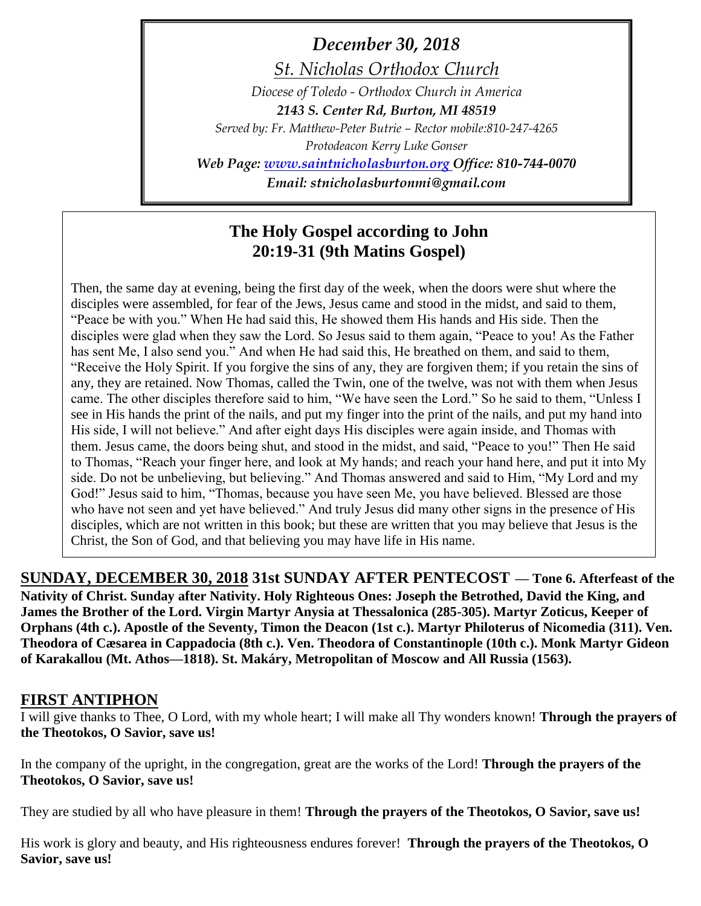*December 30, 2018*

*St. Nicholas Orthodox Church*

*Diocese of Toledo - Orthodox Church in America*

*2143 S. Center Rd, Burton, MI 48519*

*Served by: Fr. Matthew-Peter Butrie – Rector mobile:810-247-4265 Protodeacon Kerry Luke Gonser*

*Web Page: [www.saintnicholasburton.org](http://www.saintnicholasburton.org/) Office: 810-744-0070 Email: stnicholasburtonmi@gmail.com*

# **The Holy Gospel according to John 20:19-31 (9th Matins Gospel)**

Then, the same day at evening, being the first day of the week, when the doors were shut where the disciples were assembled, for fear of the Jews, Jesus came and stood in the midst, and said to them, "Peace be with you." When He had said this, He showed them His hands and His side. Then the disciples were glad when they saw the Lord. So Jesus said to them again, "Peace to you! As the Father has sent Me, I also send you." And when He had said this, He breathed on them, and said to them, "Receive the Holy Spirit. If you forgive the sins of any, they are forgiven them; if you retain the sins of any, they are retained. Now Thomas, called the Twin, one of the twelve, was not with them when Jesus came. The other disciples therefore said to him, "We have seen the Lord." So he said to them, "Unless I see in His hands the print of the nails, and put my finger into the print of the nails, and put my hand into His side, I will not believe." And after eight days His disciples were again inside, and Thomas with them. Jesus came, the doors being shut, and stood in the midst, and said, "Peace to you!" Then He said to Thomas, "Reach your finger here, and look at My hands; and reach your hand here, and put it into My side. Do not be unbelieving, but believing." And Thomas answered and said to Him, "My Lord and my God!" Jesus said to him, "Thomas, because you have seen Me, you have believed. Blessed are those who have not seen and yet have believed." And truly Jesus did many other signs in the presence of His disciples, which are not written in this book; but these are written that you may believe that Jesus is the Christ, the Son of God, and that believing you may have life in His name.

**SUNDAY, DECEMBER 30, 2018 31st SUNDAY AFTER PENTECOST — Tone 6. Afterfeast of the Nativity of Christ. Sunday after Nativity. Holy Righteous Ones: Joseph the Betrothed, David the King, and James the Brother of the Lord. Virgin Martyr Anysia at Thessalonica (285-305). Martyr Zoticus, Keeper of Orphans (4th c.). Apostle of the Seventy, Timon the Deacon (1st c.). Martyr Philoterus of Nicomedia (311). Ven. Theodora of Cæsarea in Cappadocia (8th c.). Ven. Theodora of Constantinople (10th c.). Monk Martyr Gideon of Karakallou (Mt. Athos—1818). St. Makáry, Metropolitan of Moscow and All Russia (1563).** 

## **FIRST ANTIPHON**

I will give thanks to Thee, O Lord, with my whole heart; I will make all Thy wonders known! **Through the prayers of the Theotokos, O Savior, save us!**

In the company of the upright, in the congregation, great are the works of the Lord! **Through the prayers of the Theotokos, O Savior, save us!**

They are studied by all who have pleasure in them! **Through the prayers of the Theotokos, O Savior, save us!**

His work is glory and beauty, and His righteousness endures forever! **Through the prayers of the Theotokos, O Savior, save us!**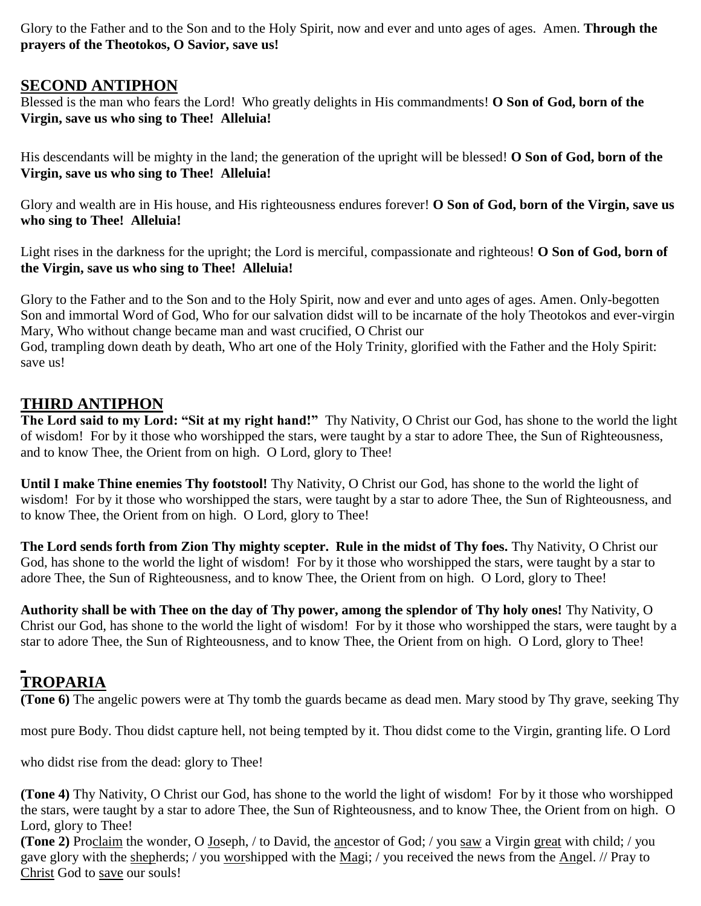Glory to the Father and to the Son and to the Holy Spirit, now and ever and unto ages of ages. Amen. **Through the prayers of the Theotokos, O Savior, save us!**

### **SECOND ANTIPHON**

Blessed is the man who fears the Lord! Who greatly delights in His commandments! **O Son of God, born of the Virgin, save us who sing to Thee! Alleluia!**

His descendants will be mighty in the land; the generation of the upright will be blessed! **O Son of God, born of the Virgin, save us who sing to Thee! Alleluia!**

Glory and wealth are in His house, and His righteousness endures forever! **O Son of God, born of the Virgin, save us who sing to Thee! Alleluia!**

Light rises in the darkness for the upright; the Lord is merciful, compassionate and righteous! **O Son of God, born of the Virgin, save us who sing to Thee! Alleluia!**

Glory to the Father and to the Son and to the Holy Spirit, now and ever and unto ages of ages. Amen. Only-begotten Son and immortal Word of God, Who for our salvation didst will to be incarnate of the holy Theotokos and ever-virgin Mary, Who without change became man and wast crucified, O Christ our

God, trampling down death by death, Who art one of the Holy Trinity, glorified with the Father and the Holy Spirit: save us!

## **THIRD ANTIPHON**

**The Lord said to my Lord: "Sit at my right hand!"** Thy Nativity, O Christ our God, has shone to the world the light of wisdom! For by it those who worshipped the stars, were taught by a star to adore Thee, the Sun of Righteousness, and to know Thee, the Orient from on high. O Lord, glory to Thee!

**Until I make Thine enemies Thy footstool!** Thy Nativity, O Christ our God, has shone to the world the light of wisdom! For by it those who worshipped the stars, were taught by a star to adore Thee, the Sun of Righteousness, and to know Thee, the Orient from on high. O Lord, glory to Thee!

**The Lord sends forth from Zion Thy mighty scepter. Rule in the midst of Thy foes.** Thy Nativity, O Christ our God, has shone to the world the light of wisdom! For by it those who worshipped the stars, were taught by a star to adore Thee, the Sun of Righteousness, and to know Thee, the Orient from on high. O Lord, glory to Thee!

**Authority shall be with Thee on the day of Thy power, among the splendor of Thy holy ones!** Thy Nativity, O Christ our God, has shone to the world the light of wisdom! For by it those who worshipped the stars, were taught by a star to adore Thee, the Sun of Righteousness, and to know Thee, the Orient from on high. O Lord, glory to Thee!

## **TROPARIA**

**(Tone 6)** The angelic powers were at Thy tomb the guards became as dead men. Mary stood by Thy grave, seeking Thy

most pure Body. Thou didst capture hell, not being tempted by it. Thou didst come to the Virgin, granting life. O Lord

who didst rise from the dead: glory to Thee!

**(Tone 4)** Thy Nativity, O Christ our God, has shone to the world the light of wisdom! For by it those who worshipped the stars, were taught by a star to adore Thee, the Sun of Righteousness, and to know Thee, the Orient from on high. O Lord, glory to Thee!

**(Tone 2)** Proclaim the wonder, O Joseph, / to David, the ancestor of God; / you saw a Virgin great with child; / you gave glory with the shepherds; / you worshipped with the Magi; / you received the news from the Angel. // Pray to Christ God to save our souls!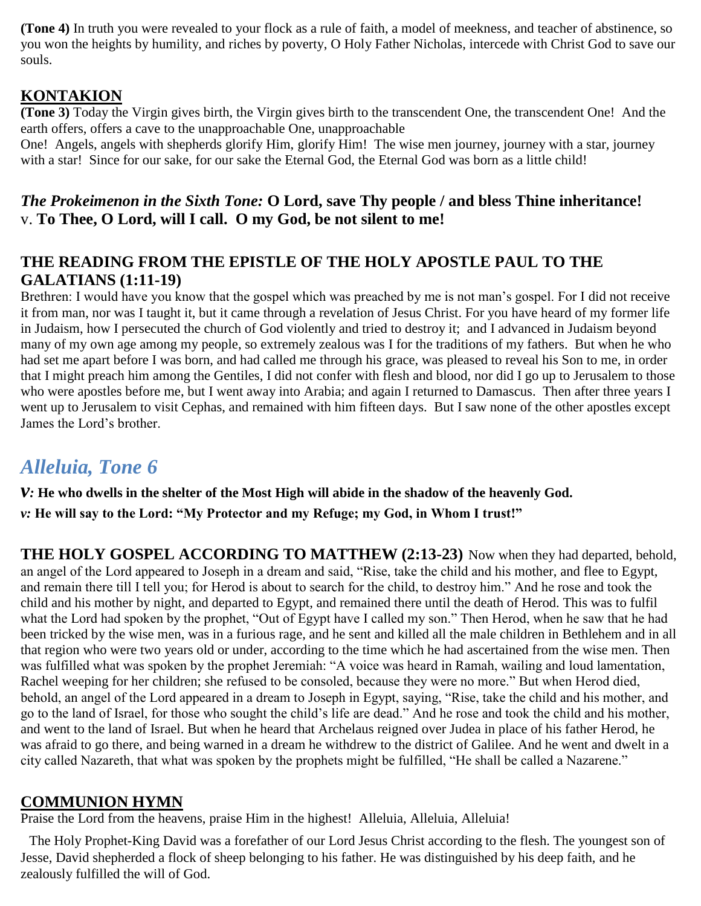**(Tone 4)** In truth you were revealed to your flock as a rule of faith, a model of meekness, and teacher of abstinence, so you won the heights by humility, and riches by poverty, O Holy Father Nicholas, intercede with Christ God to save our souls.

## **KONTAKION**

**(Tone 3)** Today the Virgin gives birth, the Virgin gives birth to the transcendent One, the transcendent One! And the earth offers, offers a cave to the unapproachable One, unapproachable

One! Angels, angels with shepherds glorify Him, glorify Him! The wise men journey, journey with a star, journey with a star! Since for our sake, for our sake the Eternal God, the Eternal God was born as a little child!

## *The Prokeimenon in the Sixth Tone:* **O Lord, save Thy people / and bless Thine inheritance!** v. **To Thee, O Lord, will I call. O my God, be not silent to me!**

## **THE READING FROM THE EPISTLE OF THE HOLY APOSTLE PAUL TO THE GALATIANS (1:11-19)**

Brethren: I would have you know that the gospel which was preached by me is not man's gospel. For I did not receive it from man, nor was I taught it, but it came through a revelation of Jesus Christ. For you have heard of my former life in Judaism, how I persecuted the church of God violently and tried to destroy it; and I advanced in Judaism beyond many of my own age among my people, so extremely zealous was I for the traditions of my fathers. But when he who had set me apart before I was born, and had called me through his grace, was pleased to reveal his Son to me, in order that I might preach him among the Gentiles, I did not confer with flesh and blood, nor did I go up to Jerusalem to those who were apostles before me, but I went away into Arabia; and again I returned to Damascus. Then after three years I went up to Jerusalem to visit Cephas, and remained with him fifteen days. But I saw none of the other apostles except James the Lord's brother.

# *Alleluia, Tone 6*

*v:* **He who dwells in the shelter of the Most High will abide in the shadow of the heavenly God.** *v:* **He will say to the Lord: "My Protector and my Refuge; my God, in Whom I trust!"**

**THE HOLY GOSPEL ACCORDING TO MATTHEW (2:13-23)** Now when they had departed, behold, an angel of the Lord appeared to Joseph in a dream and said, "Rise, take the child and his mother, and flee to Egypt, and remain there till I tell you; for Herod is about to search for the child, to destroy him." And he rose and took the child and his mother by night, and departed to Egypt, and remained there until the death of Herod. This was to fulfil what the Lord had spoken by the prophet, "Out of Egypt have I called my son." Then Herod, when he saw that he had been tricked by the wise men, was in a furious rage, and he sent and killed all the male children in Bethlehem and in all that region who were two years old or under, according to the time which he had ascertained from the wise men. Then was fulfilled what was spoken by the prophet Jeremiah: "A voice was heard in Ramah, wailing and loud lamentation, Rachel weeping for her children; she refused to be consoled, because they were no more." But when Herod died, behold, an angel of the Lord appeared in a dream to Joseph in Egypt, saying, "Rise, take the child and his mother, and go to the land of Israel, for those who sought the child's life are dead." And he rose and took the child and his mother, and went to the land of Israel. But when he heard that Archelaus reigned over Judea in place of his father Herod, he was afraid to go there, and being warned in a dream he withdrew to the district of Galilee. And he went and dwelt in a city called Nazareth, that what was spoken by the prophets might be fulfilled, "He shall be called a Nazarene."

## **COMMUNION HYMN**

Praise the Lord from the heavens, praise Him in the highest! Alleluia, Alleluia, Alleluia!

The Holy Prophet-King David was a forefather of our Lord Jesus Christ according to the flesh. The youngest son of Jesse, David shepherded a flock of sheep belonging to his father. He was distinguished by his deep faith, and he zealously fulfilled the will of God.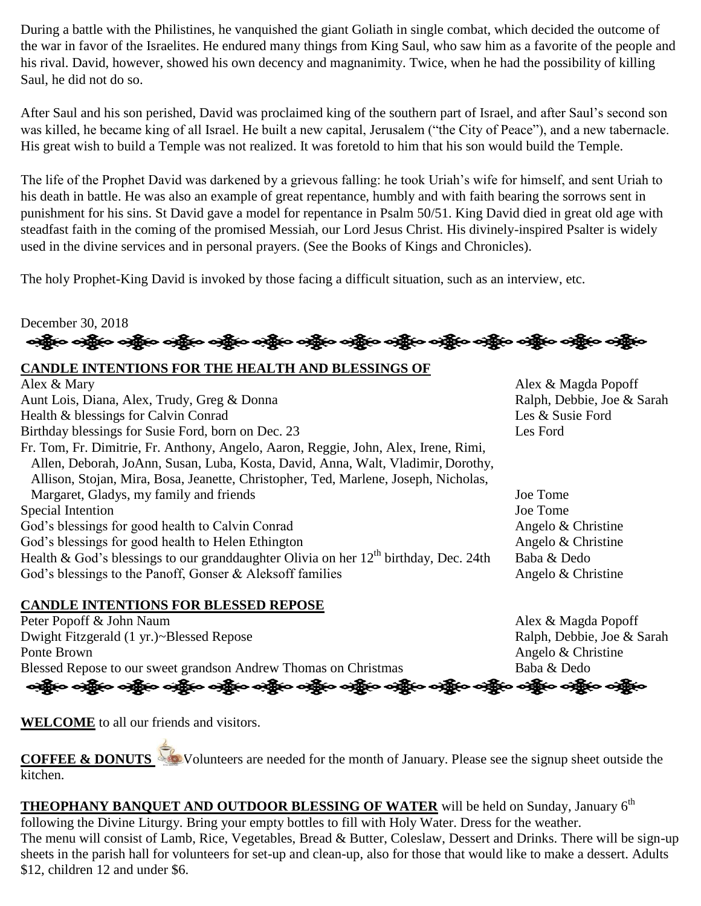During a battle with the Philistines, he vanquished the giant Goliath in single combat, which decided the outcome of the war in favor of the Israelites. He endured many things from King Saul, who saw him as a favorite of the people and his rival. David, however, showed his own decency and magnanimity. Twice, when he had the possibility of killing Saul, he did not do so.

After Saul and his son perished, David was proclaimed king of the southern part of Israel, and after Saul's second son was killed, he became king of all Israel. He built a new capital, Jerusalem ("the City of Peace"), and a new tabernacle. His great wish to build a Temple was not realized. It was foretold to him that his son would build the Temple.

The life of the Prophet David was darkened by a grievous falling: he took Uriah's wife for himself, and sent Uriah to his death in battle. He was also an example of great repentance, humbly and with faith bearing the sorrows sent in punishment for his sins. St David gave a model for repentance in Psalm 50/51. King David died in great old age with steadfast faith in the coming of the promised Messiah, our Lord Jesus Christ. His divinely-inspired Psalter is widely used in the divine services and in personal prayers. (See the Books of Kings and Chronicles).

The holy Prophet-King David is invoked by those facing a difficult situation, such as an interview, etc.

December 30, 2018 ခရွို့လ ခရွိ**့ သို့လ ခရွိသည့် သည့်လ ခရွိသည့် သန္တိယ** ခရွိသည့် သည့်လ ခရွိသည့် သည့်လ ခရွိသည့် သည

### **CANDLE INTENTIONS FOR THE HEALTH AND BLESSINGS OF**

| Alex & Magda Popoff        |
|----------------------------|
| Ralph, Debbie, Joe & Sarah |
| Les & Susie Ford           |
| Les Ford                   |
|                            |
|                            |
|                            |
| Joe Tome                   |
| Joe Tome                   |
| Angelo & Christine         |
| Angelo & Christine         |
| Baba & Dedo                |
| Angelo & Christine         |
|                            |

### **CANDLE INTENTIONS FOR BLESSED REPOSE**

Peter Popoff & John Naum Alex & Magda Popoff Dwight Fitzgerald (1 yr.)~Blessed Repose Ralph, Debbie, Joe & Sarah Ponte Brown Angelo & Christine Blessed Repose to our sweet grandson Andrew Thomas on Christmas Baba & Dedo ઓફ્રેન ઓફ્રેન ઓફ્રેન એફ્રેન ઓફ્રેન ઓફ્રેન ઓફ્રેન ઓફ્રેન એફ્રેન એફ્રેન એફ્રેન એફ્રેન એફ્રેન એફ્રેન

**WELCOME** to all our friends and visitors.

**COFFEE & DONUTS** Volunteers are needed for the month of January. Please see the signup sheet outside the kitchen.

**THEOPHANY BANQUET AND OUTDOOR BLESSING OF WATER** will be held on Sunday, January 6<sup>th</sup> following the Divine Liturgy. Bring your empty bottles to fill with Holy Water. Dress for the weather. The menu will consist of Lamb, Rice, Vegetables, Bread & Butter, Coleslaw, Dessert and Drinks. There will be sign-up sheets in the parish hall for volunteers for set-up and clean-up, also for those that would like to make a dessert. Adults \$12, children 12 and under \$6.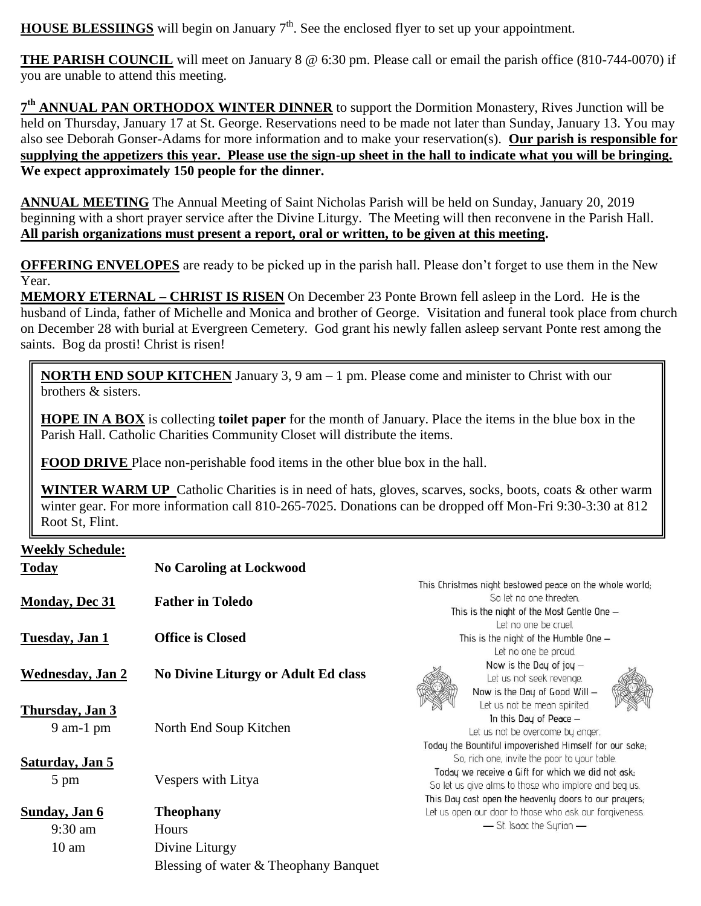**HOUSE BLESSIINGS** will begin on January 7<sup>th</sup>. See the enclosed flyer to set up your appointment.

**THE PARISH COUNCIL** will meet on January 8 @ 6:30 pm. Please call or email the parish office (810-744-0070) if you are unable to attend this meeting.

**7 th ANNUAL PAN ORTHODOX WINTER DINNER** to support the Dormition Monastery, Rives Junction will be held on Thursday, January 17 at St. George. Reservations need to be made not later than Sunday, January 13. You may also see Deborah Gonser-Adams for more information and to make your reservation(s). **Our parish is responsible for supplying the appetizers this year. Please use the sign-up sheet in the hall to indicate what you will be bringing. We expect approximately 150 people for the dinner.**

**ANNUAL MEETING** The Annual Meeting of Saint Nicholas Parish will be held on Sunday, January 20, 2019 beginning with a short prayer service after the Divine Liturgy. The Meeting will then reconvene in the Parish Hall. **All parish organizations must present a report, oral or written, to be given at this meeting.** 

**OFFERING ENVELOPES** are ready to be picked up in the parish hall. Please don't forget to use them in the New Year.

**MEMORY ETERNAL – CHRIST IS RISEN** On December 23 Ponte Brown fell asleep in the Lord. He is the husband of Linda, father of Michelle and Monica and brother of George. Visitation and funeral took place from church on December 28 with burial at Evergreen Cemetery. God grant his newly fallen asleep servant Ponte rest among the saints. Bog da prosti! Christ is risen!

**NORTH END SOUP KITCHEN** January 3, 9 am – 1 pm. Please come and minister to Christ with our brothers & sisters.

**HOPE IN A BOX** is collecting **toilet paper** for the month of January. Place the items in the blue box in the Parish Hall. Catholic Charities Community Closet will distribute the items.

**FOOD DRIVE** Place non-perishable food items in the other blue box in the hall.

**WINTER WARM UP** Catholic Charities is in need of hats, gloves, scarves, socks, boots, coats & other warm winter gear. For more information call 810-265-7025. Donations can be dropped off Mon-Fri 9:30-3:30 at 812 Root St, Flint.

### **Weekly Schedule:**

| <b>Today</b>                              | <b>No Caroling at Lockwood</b>             |                                                                                                                                                                                                                    |  |
|-------------------------------------------|--------------------------------------------|--------------------------------------------------------------------------------------------------------------------------------------------------------------------------------------------------------------------|--|
| <b>Monday, Dec 31</b>                     | <b>Father in Toledo</b>                    | This Christmas night bestowed peace on the whole world;<br>So let no one threaten.<br>This is the night of the Most Gentle One -                                                                                   |  |
| <b>Tuesday</b> , Jan 1                    | <b>Office is Closed</b>                    | Let no one be cruel.<br>This is the night of the Humble One -<br>Let no one be proud.                                                                                                                              |  |
| <b>Wednesday</b> , Jan 2                  | <b>No Divine Liturgy or Adult Ed class</b> | Now is the Day of joy $-$<br>Let us not seek revenge.<br>Now is the Day of Good Will -                                                                                                                             |  |
| Thursday, Jan 3<br>$9$ am-1 pm            | North End Soup Kitchen                     | Let us not be mean spirited.<br>In this Day of Peace $-$<br>Let us not be overcome by anger.<br>Today the Bountiful impoverished Himself for our sake;                                                             |  |
| <b>Saturday</b> , Jan 5<br>$5 \text{ pm}$ | Vespers with Litya                         | So, rich one, invite the poor to your table.<br>Today we receive a Gift for which we did not ask;<br>So let us give alms to those who implore and beg us.<br>This Day cast open the heavenly doors to our prayers; |  |
| Sunday, Jan 6                             | <b>Theophany</b>                           | Let us open our door to those who ask our forgiveness.                                                                                                                                                             |  |
| $9:30$ am                                 | Hours                                      | — St. Isaac the Syrian —                                                                                                                                                                                           |  |
| 10 <sub>am</sub>                          | Divine Liturgy                             |                                                                                                                                                                                                                    |  |
|                                           | Blessing of water & Theophany Banquet      |                                                                                                                                                                                                                    |  |